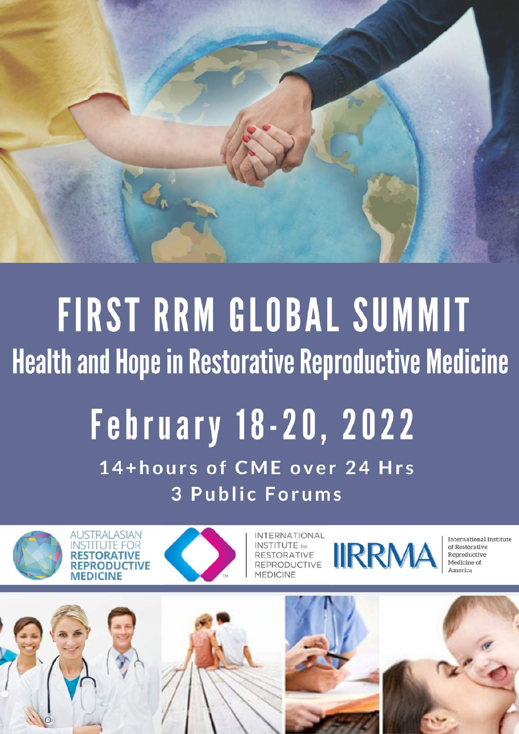

# FIRST RRM GLOBAL SUMMIT **Health and Hope in Restorative Reproductive Medicine February 18-20, 2022** 14+hours of CME over 24 Hrs

**3 Public Forums** 





**INTERNATIONAL IIRRMA INSTITUTE** for **REPRODUCTIVE** 

International Institute of Restorative Reproductive Medicine of America

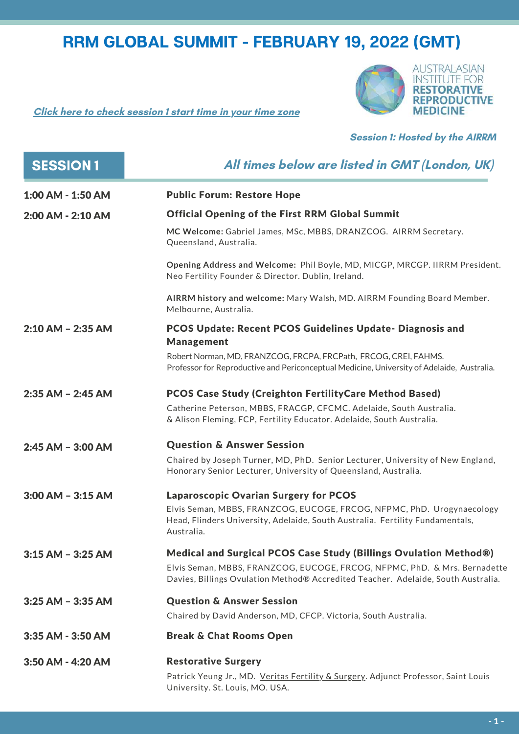**Click here to check [session](https://everytimezone.com/s/db0b3365) 1 start time in your time zone**



#### **Session 1: Hosted by the AIRRM**

| <b>SESSION1</b>       | All times below are listed in GMT (London, UK)                                                                                                                        |
|-----------------------|-----------------------------------------------------------------------------------------------------------------------------------------------------------------------|
| 1:00 AM - 1:50 AM     | <b>Public Forum: Restore Hope</b>                                                                                                                                     |
| 2:00 AM - 2:10 AM     | <b>Official Opening of the First RRM Global Summit</b>                                                                                                                |
|                       | MC Welcome: Gabriel James, MSc, MBBS, DRANZCOG. AIRRM Secretary.<br>Queensland, Australia.                                                                            |
|                       | Opening Address and Welcome: Phil Boyle, MD, MICGP, MRCGP. IIRRM President.<br>Neo Fertility Founder & Director. Dublin, Ireland.                                     |
|                       | AIRRM history and welcome: Mary Walsh, MD. AIRRM Founding Board Member.<br>Melbourne, Australia.                                                                      |
| $2:10$ AM - 2:35 AM   | <b>PCOS Update: Recent PCOS Guidelines Update- Diagnosis and</b><br><b>Management</b>                                                                                 |
|                       | Robert Norman, MD, FRANZCOG, FRCPA, FRCPath, FRCOG, CREI, FAHMS.<br>Professor for Reproductive and Periconceptual Medicine, University of Adelaide, Australia.        |
| $2:35$ AM - $2:45$ AM | <b>PCOS Case Study (Creighton Fertility Care Method Based)</b>                                                                                                        |
|                       | Catherine Peterson, MBBS, FRACGP, CFCMC. Adelaide, South Australia.<br>& Alison Fleming, FCP, Fertility Educator. Adelaide, South Australia.                          |
| $2:45$ AM - $3:00$ AM | <b>Question &amp; Answer Session</b>                                                                                                                                  |
|                       | Chaired by Joseph Turner, MD, PhD. Senior Lecturer, University of New England,<br>Honorary Senior Lecturer, University of Queensland, Australia.                      |
| $3:00$ AM - $3:15$ AM | <b>Laparoscopic Ovarian Surgery for PCOS</b>                                                                                                                          |
|                       | Elvis Seman, MBBS, FRANZCOG, EUCOGE, FRCOG, NFPMC, PhD. Urogynaecology<br>Head, Flinders University, Adelaide, South Australia. Fertility Fundamentals,<br>Australia. |
| $3:15$ AM - 3:25 AM   | Medical and Surgical PCOS Case Study (Billings Ovulation Method®)                                                                                                     |
|                       | Elvis Seman, MBBS, FRANZCOG, EUCOGE, FRCOG, NFPMC, PhD. & Mrs. Bernadette<br>Davies, Billings Ovulation Method® Accredited Teacher. Adelaide, South Australia.        |
| 3:25 AM - 3:35 AM     | <b>Question &amp; Answer Session</b>                                                                                                                                  |
|                       | Chaired by David Anderson, MD, CFCP. Victoria, South Australia.                                                                                                       |
| 3:35 AM - 3:50 AM     | <b>Break &amp; Chat Rooms Open</b>                                                                                                                                    |
| 3:50 AM - 4:20 AM     | <b>Restorative Surgery</b>                                                                                                                                            |
|                       | Patrick Yeung Jr., MD. Veritas Fertility & Surgery. Adjunct Professor, Saint Louis<br>University. St. Louis, MO. USA.                                                 |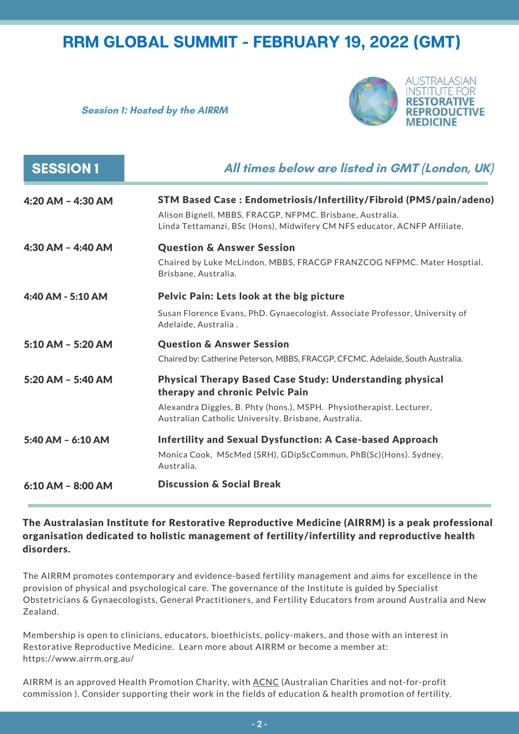**Session 1: Hosted by the AIRRM**



| <b>SESSION1</b>     | All times below are listed in GMT (London, UK)                                                                                                                                                                                      |
|---------------------|-------------------------------------------------------------------------------------------------------------------------------------------------------------------------------------------------------------------------------------|
| 4:20 AM - 4:30 AM   | STM Based Case: Endometriosis/Infertility/Fibroid (PMS/pain/adeno)<br>Alison Bignell, MBBS, FRACGP, NFPMC. Brisbane, Australia.<br>Linda Tettamanzi, BSc (Hons), Midwifery CM NFS educator, ACNFP Affiliate.                        |
| 4:30 AM - 4:40 AM   | <b>Question &amp; Answer Session</b><br>Chaired by Luke McLindon, MBBS, FRACGP FRANZCOG NFPMC. Mater Hosptial.<br>Brisbane, Australia.                                                                                              |
| 4:40 AM - 5:10 AM   | Pelvic Pain: Lets look at the big picture<br>Susan Florence Evans, PhD. Gynaecologist. Associate Professor, University of<br>Adelaide, Australia.                                                                                   |
| 5:10 AM - 5:20 AM   | <b>Question &amp; Answer Session</b><br>Chaired by: Catherine Peterson, MBBS, FRACGP, CFCMC. Adelaide, South Australia.                                                                                                             |
| 5:20 AM - 5:40 AM   | <b>Physical Therapy Based Case Study: Understanding physical</b><br>therapy and chronic Pelvic Pain<br>Alexandra Diggles, B. Phty (hons.), MSPH. Physiotherapist. Lecturer,<br>Australian Catholic University. Brisbane, Australia. |
| 5:40 AM - 6:10 AM   | <b>Infertility and Sexual Dysfunction: A Case-based Approach</b><br>Monica Cook, MScMed (SRH), GDipScCommun, PhB(Sc)(Hons). Sydney,<br>Australia.                                                                                   |
| $6:10$ AM - 8:00 AM | <b>Discussion &amp; Social Break</b>                                                                                                                                                                                                |

#### The Australasian Institute for Restorative Reproductive Medicine (AIRRM) is a peak professional organisation dedicated to holistic management of fertility/infertility and reproductive health disorders.

The AIRRM promotes contemporary and evidence-based fertility management and aims for excellence in the provision of physical and psychological care. The governance of the Institute is guided by Specialist Obstetricians & Gynaecologists, General Practitioners, and Fertility Educators from around Australia and New Zealand.

Membership is open to clinicians, educators, bioethicists, policy-makers, and those with an interest in Restorative Reproductive Medicine. Learn more about AIRRM or become a member at: https://www.airrm.org.au/

AIRRM is an approved Health Promotion Charity, with [ACNC](https://www.acnc.gov.au/) (Australian Charities and not-for-profit commission ). Consider supporting their work in the fields of education & health promotion of fertility.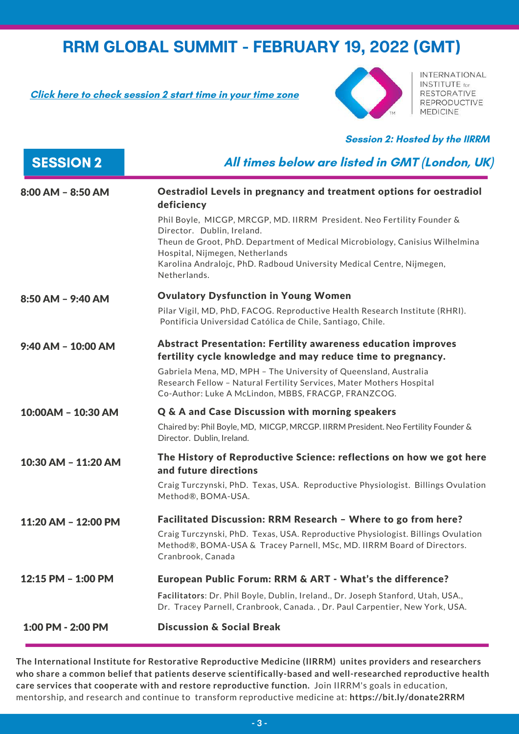**Click here to check [session](https://everytimezone.com/s/22e6f46e) 2 start time in your time zone**



INTERNATIONAL **INSTITUTE** for RESTORATIVE **REPRODUCTIVE MEDICINE** 

**Session 2: Hosted by the IIRRM**

| <b>SESSION 2</b>    | All times below are listed in GMT (London, UK)                                                                                                                                                                                                                                                                                                                                                        |
|---------------------|-------------------------------------------------------------------------------------------------------------------------------------------------------------------------------------------------------------------------------------------------------------------------------------------------------------------------------------------------------------------------------------------------------|
| 8:00 AM - 8:50 AM   | Oestradiol Levels in pregnancy and treatment options for oestradiol<br>deficiency<br>Phil Boyle, MICGP, MRCGP, MD. IIRRM President. Neo Fertility Founder &<br>Director. Dublin, Ireland.<br>Theun de Groot, PhD. Department of Medical Microbiology, Canisius Wilhelmina<br>Hospital, Nijmegen, Netherlands<br>Karolina Andralojc, PhD. Radboud University Medical Centre, Nijmegen,<br>Netherlands. |
| 8:50 AM - 9:40 AM   | <b>Ovulatory Dysfunction in Young Women</b>                                                                                                                                                                                                                                                                                                                                                           |
|                     | Pilar Vigil, MD, PhD, FACOG. Reproductive Health Research Institute (RHRI).<br>Pontificia Universidad Católica de Chile, Santiago, Chile.                                                                                                                                                                                                                                                             |
| 9:40 AM - 10:00 AM  | <b>Abstract Presentation: Fertility awareness education improves</b><br>fertility cycle knowledge and may reduce time to pregnancy.<br>Gabriela Mena, MD, MPH - The University of Queensland, Australia<br>Research Fellow - Natural Fertility Services, Mater Mothers Hospital<br>Co-Author: Luke A McLindon, MBBS, FRACGP, FRANZCOG.                                                                |
| 10:00AM - 10:30 AM  | Q & A and Case Discussion with morning speakers<br>Chaired by: Phil Boyle, MD, MICGP, MRCGP. IIRRM President. Neo Fertility Founder &<br>Director. Dublin, Ireland.                                                                                                                                                                                                                                   |
| 10:30 AM - 11:20 AM | The History of Reproductive Science: reflections on how we got here<br>and future directions<br>Craig Turczynski, PhD. Texas, USA. Reproductive Physiologist. Billings Ovulation<br>Method®, BOMA-USA.                                                                                                                                                                                                |
| 11:20 AM - 12:00 PM | Facilitated Discussion: RRM Research - Where to go from here?<br>Craig Turczynski, PhD. Texas, USA. Reproductive Physiologist. Billings Ovulation<br>Method®, BOMA-USA & Tracey Parnell, MSc, MD. IIRRM Board of Directors.<br>Cranbrook, Canada                                                                                                                                                      |
| 12:15 PM - 1:00 PM  | European Public Forum: RRM & ART - What's the difference?                                                                                                                                                                                                                                                                                                                                             |
|                     | Facilitators: Dr. Phil Boyle, Dublin, Ireland., Dr. Joseph Stanford, Utah, USA.,<br>Dr. Tracey Parnell, Cranbrook, Canada., Dr. Paul Carpentier, New York, USA.                                                                                                                                                                                                                                       |
| 1:00 PM - 2:00 PM   | <b>Discussion &amp; Social Break</b>                                                                                                                                                                                                                                                                                                                                                                  |

**The International Institute for Restorative Reproductive Medicine (IIRRM) unites providers and researchers who share a common belief that patients deserve scientifically-based and well-researched reproductive health care services that cooperate with and restore reproductive function.** Join IIRRM's goals in education, mentorship, and research and continue to transform reproductive medicine at: **https://bit.ly/donate2RRM**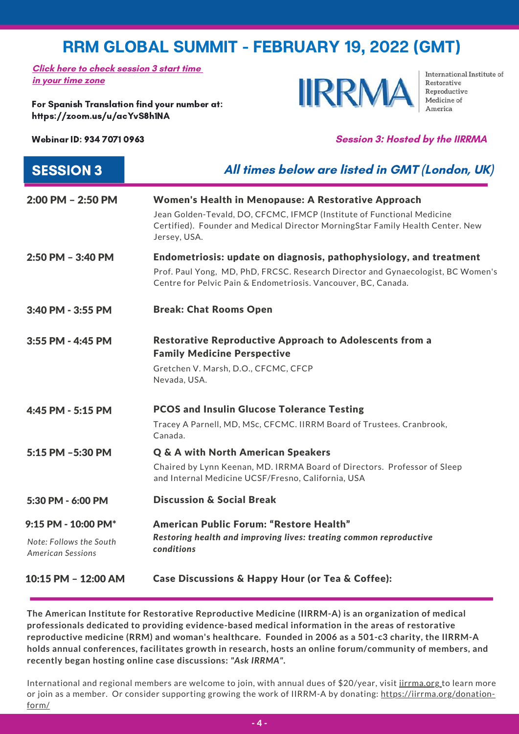**Click here to [check](https://everytimezone.com/s/db0b3365https:/everytimezone.com/s/5b68536e) [session](https://everytimezone.com/s/65720a0d) 3 [start](https://everytimezone.com/s/db0b3365https:/everytimezone.com/s/5b68536e) time in your [time](https://everytimezone.com/s/db0b3365https:/everytimezone.com/s/5b68536e) [zone](https://everytimezone.com/s/5b68536e)**

For Spanish Translation find your number at: <https://zoom.us/u/acYvS8h1NA>

**IIRRM** 

International Institute of Restorative Reproductive Medicine of

#### Webinar ID: 934 7071 0963 **Session 3: Hosted by the IIRRMA**

| <b>SESSION 3</b>                                    | All times below are listed in GMT (London, UK)                                                                                                                           |
|-----------------------------------------------------|--------------------------------------------------------------------------------------------------------------------------------------------------------------------------|
| 2:00 PM - 2:50 PM                                   | Women's Health in Menopause: A Restorative Approach                                                                                                                      |
|                                                     | Jean Golden-Tevald, DO, CFCMC, IFMCP (Institute of Functional Medicine<br>Certified). Founder and Medical Director MorningStar Family Health Center. New<br>Jersey, USA. |
| 2:50 PM - 3:40 PM                                   | Endometriosis: update on diagnosis, pathophysiology, and treatment                                                                                                       |
|                                                     | Prof. Paul Yong, MD, PhD, FRCSC. Research Director and Gynaecologist, BC Women's<br>Centre for Pelvic Pain & Endometriosis. Vancouver, BC, Canada.                       |
| 3:40 PM - 3:55 PM                                   | <b>Break: Chat Rooms Open</b>                                                                                                                                            |
| 3:55 PM - 4:45 PM                                   | <b>Restorative Reproductive Approach to Adolescents from a</b><br><b>Family Medicine Perspective</b>                                                                     |
|                                                     | Gretchen V. Marsh, D.O., CFCMC, CFCP<br>Nevada, USA.                                                                                                                     |
| 4:45 PM - 5:15 PM                                   | <b>PCOS and Insulin Glucose Tolerance Testing</b>                                                                                                                        |
|                                                     | Tracey A Parnell, MD, MSc, CFCMC. IIRRM Board of Trustees. Cranbrook,<br>Canada.                                                                                         |
| 5:15 PM -5:30 PM                                    | <b>Q &amp; A with North American Speakers</b>                                                                                                                            |
|                                                     | Chaired by Lynn Keenan, MD. IRRMA Board of Directors. Professor of Sleep<br>and Internal Medicine UCSF/Fresno, California, USA                                           |
| 5:30 PM - 6:00 PM                                   | <b>Discussion &amp; Social Break</b>                                                                                                                                     |
| 9:15 PM - 10:00 PM*                                 | American Public Forum: "Restore Health"<br>Restoring health and improving lives: treating common reproductive<br>conditions                                              |
| Note: Follows the South<br><b>American Sessions</b> |                                                                                                                                                                          |
| 10:15 PM - 12:00 AM                                 | Case Discussions & Happy Hour (or Tea & Coffee):                                                                                                                         |

**The American Institute for Restorative Reproductive Medicine (IIRRM-A) is an organization of medical professionals dedicated to providing evidence-based medical information in the areas of restorative reproductive medicine (RRM) and woman's healthcare. Founded in 2006 as a 501-c3 charity, the IIRRM-A holds annual conferences, facilitates growth in research, hosts an online forum/community of members, and recently began hosting online case discussions:** *"Ask IRRMA"***.**

International and regional members are welcome to join, with annual dues of \$20/year, visit *[iirrma.org](http://www.iirrma.org/)* to learn more or join as a member. Or consider supporting growing the work of IIRRM-A by donating: [https://iirrma.org/donation](https://iirrma.org/donation-form/)form/